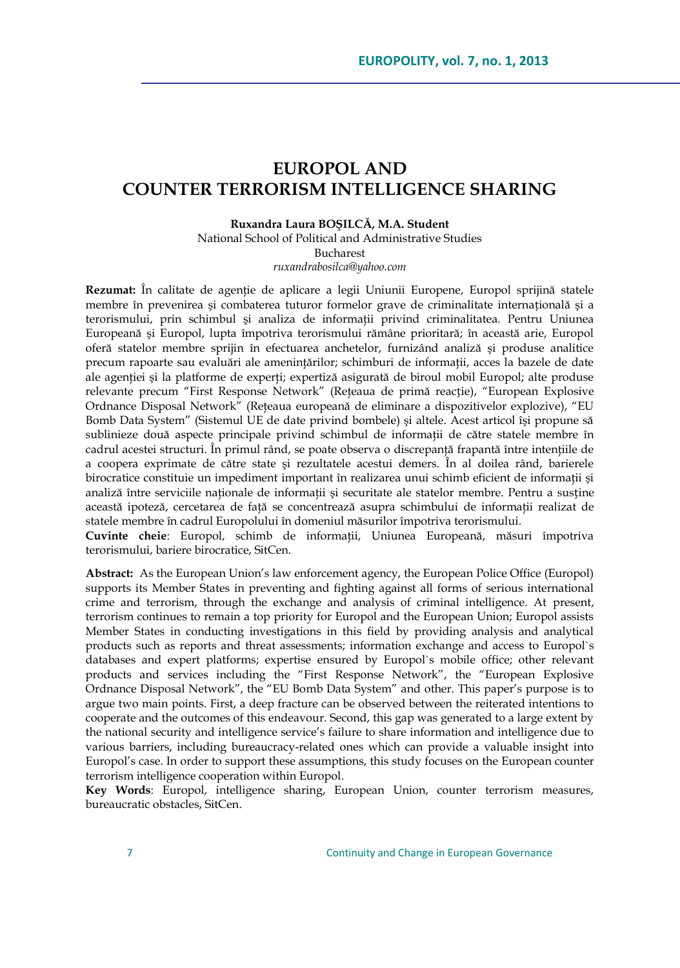# **EUROPOL AND COUNTER TERRORISM INTELLIGENCE SHARING**

#### **Ruxandra Laura BOŞILCĂ, M.A. Student**

National School of Political and Administrative Studies Bucharest

*[ruxandrabosilca@yahoo.com](mailto:ruxandrabosilca@yahoo.com)*

**Rezumat:** În calitate de agenţie de aplicare a legii Uniunii Europene, Europol sprijină statele membre în prevenirea şi combaterea tuturor formelor grave de criminalitate internațională şi a terorismului, prin schimbul și analiza de informații privind criminalitatea. Pentru Uniunea Europeană şi Europol, lupta împotriva terorismului rămâne prioritară; în această arie, Europol oferă statelor membre sprijin în efectuarea anchetelor, furnizând analiză şi produse analitice precum rapoarte sau evaluări ale ameninţărilor; schimburi de informaţii, acces la bazele de date ale agenției și la platforme de experți; expertiză asigurată de biroul mobil Europol; alte produse relevante precum "First Response Network" (Reţeaua de primă reacție), "European Explosive Ordnance Disposal Network" (Reteaua europeană de eliminare a dispozitivelor explozive), "EU Bomb Data System" (Sistemul UE de date privind bombele) şi altele. Acest articol îşi propune să sublinieze două aspecte principale privind schimbul de informații de către statele membre în cadrul acestei structuri. În primul rând, se poate observa o discrepanță frapantă între intențiile de a coopera exprimate de către state şi rezultatele acestui demers. În al doilea rând, barierele birocratice constituie un impediment important în realizarea unui schimb eficient de informații și analiză între serviciile naționale de informații și securitate ale statelor membre. Pentru a susține această ipoteză, cercetarea de faţă se concentrează asupra schimbului de informaţii realizat de statele membre în cadrul Europolului în domeniul măsurilor împotriva terorismului.

**Cuvinte cheie**: Europol, schimb de informaţii, Uniunea Europeană, măsuri împotriva terorismului, bariere birocratice, SitCen.

**Abstract:** As the European Union"s law enforcement agency, the European Police Office (Europol) supports its Member States in preventing and fighting against all forms of serious international crime and terrorism, through the exchange and analysis of criminal intelligence. At present, terrorism continues to remain a top priority for Europol and the European Union; Europol assists Member States in conducting investigations in this field by providing analysis and analytical products such as reports and threat assessments; information exchange and access to Europol`s databases and expert platforms; expertise ensured by Europol`s mobile office; other relevant products and services including the "First Response Network", the "European Explosive Ordnance Disposal Network", the "EU Bomb Data System" and other. This paper"s purpose is to argue two main points. First, a deep fracture can be observed between the reiterated intentions to cooperate and the outcomes of this endeavour. Second, this gap was generated to a large extent by the national security and intelligence service's failure to share information and intelligence due to various barriers, including bureaucracy-related ones which can provide a valuable insight into Europol"s case. In order to support these assumptions, this study focuses on the European counter terrorism intelligence cooperation within Europol.

**Key Words**: Europol, intelligence sharing, European Union, counter terrorism measures, bureaucratic obstacles, SitCen.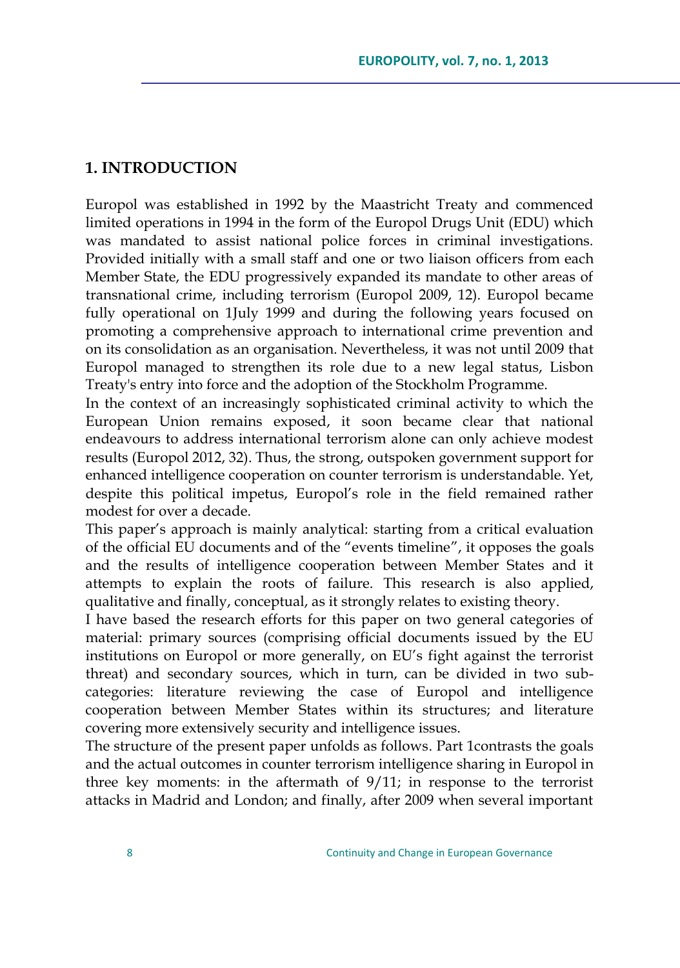### **1. INTRODUCTION**

Europol was established in 1992 by the Maastricht Treaty and commenced limited operations in 1994 in the form of the Europol Drugs Unit (EDU) which was mandated to assist national police forces in criminal investigations. Provided initially with a small staff and one or two liaison officers from each Member State, the EDU progressively expanded its mandate to other areas of transnational crime, including terrorism (Europol 2009, 12). Europol became fully operational on 1July 1999 and during the following years focused on promoting a comprehensive approach to international crime prevention and on its consolidation as an organisation. Nevertheless, it was not until 2009 that Europol managed to strengthen its role due to a new legal status, Lisbon Treaty's entry into force and the adoption of the Stockholm Programme.

In the context of an increasingly sophisticated criminal activity to which the European Union remains exposed, it soon became clear that national endeavours to address international terrorism alone can only achieve modest results (Europol 2012, 32). Thus, the strong, outspoken government support for enhanced intelligence cooperation on counter terrorism is understandable. Yet, despite this political impetus, Europol"s role in the field remained rather modest for over a decade.

This paper's approach is mainly analytical: starting from a critical evaluation of the official EU documents and of the "events timeline", it opposes the goals and the results of intelligence cooperation between Member States and it attempts to explain the roots of failure. This research is also applied, qualitative and finally, conceptual, as it strongly relates to existing theory.

I have based the research efforts for this paper on two general categories of material: primary sources (comprising official documents issued by the EU institutions on Europol or more generally, on EU"s fight against the terrorist threat) and secondary sources, which in turn, can be divided in two subcategories: literature reviewing the case of Europol and intelligence cooperation between Member States within its structures; and literature covering more extensively security and intelligence issues.

The structure of the present paper unfolds as follows. Part 1contrasts the goals and the actual outcomes in counter terrorism intelligence sharing in Europol in three key moments: in the aftermath of 9/11; in response to the terrorist attacks in Madrid and London; and finally, after 2009 when several important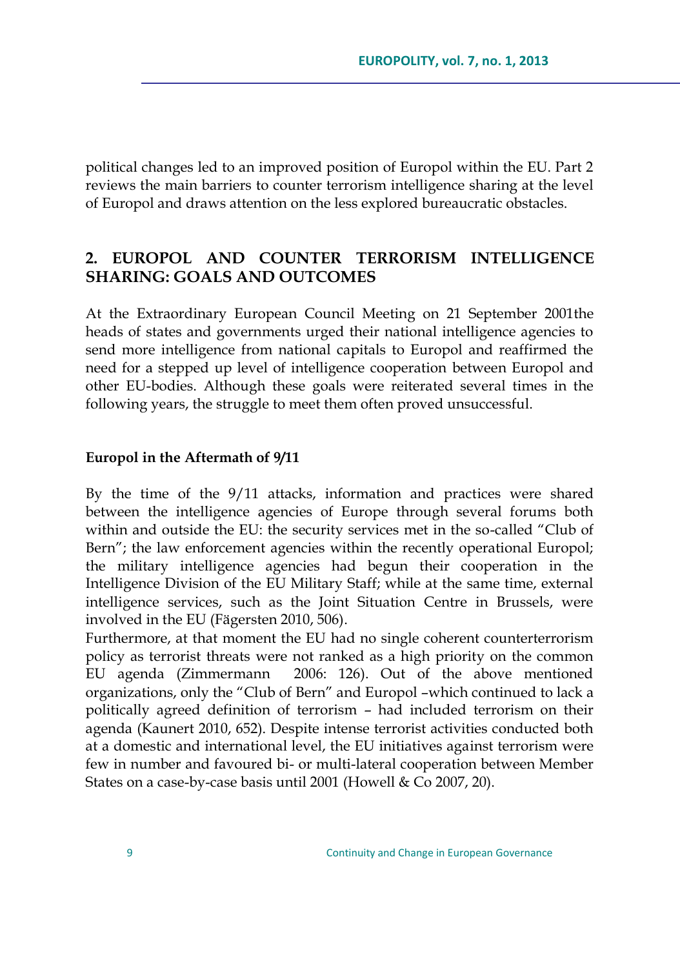political changes led to an improved position of Europol within the EU. Part 2 reviews the main barriers to counter terrorism intelligence sharing at the level of Europol and draws attention on the less explored bureaucratic obstacles.

## **2. EUROPOL AND COUNTER TERRORISM INTELLIGENCE SHARING: GOALS AND OUTCOMES**

At the Extraordinary European Council Meeting on 21 September 2001the heads of states and governments urged their national intelligence agencies to send more intelligence from national capitals to Europol and reaffirmed the need for a stepped up level of intelligence cooperation between Europol and other EU-bodies. Although these goals were reiterated several times in the following years, the struggle to meet them often proved unsuccessful.

#### **Europol in the Aftermath of 9/11**

By the time of the 9/11 attacks, information and practices were shared between the intelligence agencies of Europe through several forums both within and outside the EU: the security services met in the so-called "Club of Bern"; the law enforcement agencies within the recently operational Europol; the military intelligence agencies had begun their cooperation in the Intelligence Division of the EU Military Staff; while at the same time, external intelligence services, such as the Joint Situation Centre in Brussels, were involved in the EU (Fägersten 2010, 506).

Furthermore, at that moment the EU had no single coherent counterterrorism policy as terrorist threats were not ranked as a high priority on the common EU agenda (Zimmermann 2006: 126). Out of the above mentioned organizations, only the "Club of Bern" and Europol –which continued to lack a politically agreed definition of terrorism – had included terrorism on their agenda (Kaunert 2010, 652). Despite intense terrorist activities conducted both at a domestic and international level, the EU initiatives against terrorism were few in number and favoured bi- or multi-lateral cooperation between Member States on a case-by-case basis until 2001 (Howell & Co 2007, 20).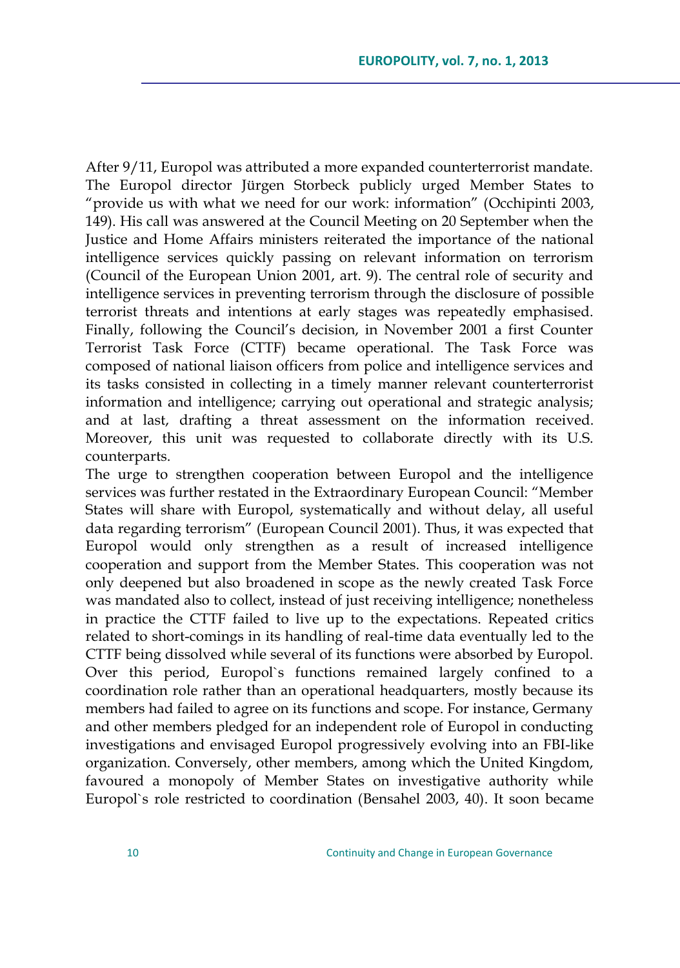After 9/11, Europol was attributed a more expanded counterterrorist mandate. The Europol director Jürgen Storbeck publicly urged Member States to "provide us with what we need for our work: information" (Occhipinti 2003, 149). His call was answered at the Council Meeting on 20 September when the Justice and Home Affairs ministers reiterated the importance of the national intelligence services quickly passing on relevant information on terrorism (Council of the European Union 2001, art. 9). The central role of security and intelligence services in preventing terrorism through the disclosure of possible terrorist threats and intentions at early stages was repeatedly emphasised. Finally, following the Council's decision, in November 2001 a first Counter Terrorist Task Force (CTTF) became operational. The Task Force was composed of national liaison officers from police and intelligence services and its tasks consisted in collecting in a timely manner relevant counterterrorist information and intelligence; carrying out operational and strategic analysis; and at last, drafting a threat assessment on the information received. Moreover, this unit was requested to collaborate directly with its U.S. counterparts.

The urge to strengthen cooperation between Europol and the intelligence services was further restated in the Extraordinary European Council: "Member States will share with Europol, systematically and without delay, all useful data regarding terrorism" (European Council 2001). Thus, it was expected that Europol would only strengthen as a result of increased intelligence cooperation and support from the Member States. This cooperation was not only deepened but also broadened in scope as the newly created Task Force was mandated also to collect, instead of just receiving intelligence; nonetheless in practice the CTTF failed to live up to the expectations. Repeated critics related to short-comings in its handling of real-time data eventually led to the CTTF being dissolved while several of its functions were absorbed by Europol. Over this period, Europol`s functions remained largely confined to a coordination role rather than an operational headquarters, mostly because its members had failed to agree on its functions and scope. For instance, Germany and other members pledged for an independent role of Europol in conducting investigations and envisaged Europol progressively evolving into an FBI-like organization. Conversely, other members, among which the United Kingdom, favoured a monopoly of Member States on investigative authority while Europol`s role restricted to coordination (Bensahel 2003, 40). It soon became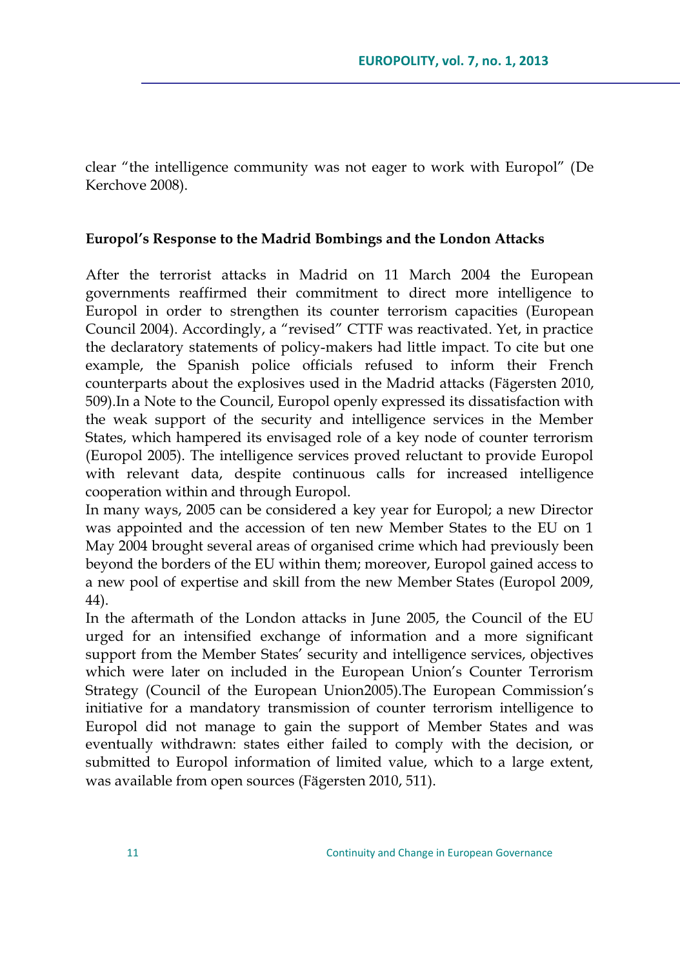clear "the intelligence community was not eager to work with Europol" (De Kerchove 2008).

### **Europol's Response to the Madrid Bombings and the London Attacks**

After the terrorist attacks in Madrid on 11 March 2004 the European governments reaffirmed their commitment to direct more intelligence to Europol in order to strengthen its counter terrorism capacities (European Council 2004). Accordingly, a "revised" CTTF was reactivated. Yet, in practice the declaratory statements of policy-makers had little impact. To cite but one example, the Spanish police officials refused to inform their French counterparts about the explosives used in the Madrid attacks (Fägersten 2010, 509).In a Note to the Council, Europol openly expressed its dissatisfaction with the weak support of the security and intelligence services in the Member States, which hampered its envisaged role of a key node of counter terrorism (Europol 2005). The intelligence services proved reluctant to provide Europol with relevant data, despite continuous calls for increased intelligence cooperation within and through Europol.

In many ways, 2005 can be considered a key year for Europol; a new Director was appointed and the accession of ten new Member States to the EU on 1 May 2004 brought several areas of organised crime which had previously been beyond the borders of the EU within them; moreover, Europol gained access to a new pool of expertise and skill from the new Member States (Europol 2009, 44).

In the aftermath of the London attacks in June 2005, the Council of the EU urged for an intensified exchange of information and a more significant support from the Member States' security and intelligence services, objectives which were later on included in the European Union"s Counter Terrorism Strategy (Council of the European Union2005).The European Commission"s initiative for a mandatory transmission of counter terrorism intelligence to Europol did not manage to gain the support of Member States and was eventually withdrawn: states either failed to comply with the decision, or submitted to Europol information of limited value, which to a large extent, was available from open sources (Fägersten 2010, 511).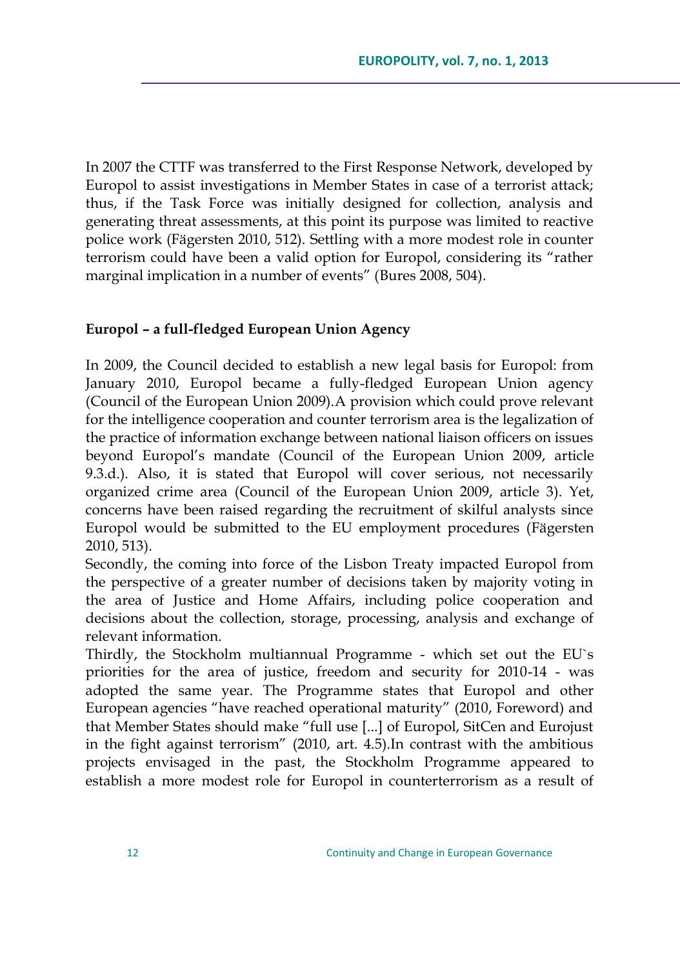In 2007 the CTTF was transferred to the First Response Network, developed by Europol to assist investigations in Member States in case of a terrorist attack; thus, if the Task Force was initially designed for collection, analysis and generating threat assessments, at this point its purpose was limited to reactive police work (Fägersten 2010, 512). Settling with a more modest role in counter terrorism could have been a valid option for Europol, considering its "rather marginal implication in a number of events" (Bures 2008, 504).

### **Europol – a full-fledged European Union Agency**

In 2009, the Council decided to establish a new legal basis for Europol: from January 2010, Europol became a fully-fledged European Union agency (Council of the European Union 2009).A provision which could prove relevant for the intelligence cooperation and counter terrorism area is the legalization of the practice of information exchange between national liaison officers on issues beyond Europol"s mandate (Council of the European Union 2009, article 9.3.d.). Also, it is stated that Europol will cover serious, not necessarily organized crime area (Council of the European Union 2009, article 3). Yet, concerns have been raised regarding the recruitment of skilful analysts since Europol would be submitted to the EU employment procedures (Fägersten 2010, 513).

Secondly, the coming into force of the Lisbon Treaty impacted Europol from the perspective of a greater number of decisions taken by majority voting in the area of Justice and Home Affairs, including police cooperation and decisions about the collection, storage, processing, analysis and exchange of relevant information.

Thirdly, the Stockholm multiannual Programme - which set out the EU`s priorities for the area of justice, freedom and security for 2010-14 - was adopted the same year. The Programme states that Europol and other European agencies "have reached operational maturity" (2010, Foreword) and that Member States should make "full use [...] of Europol, SitCen and Eurojust in the fight against terrorism" (2010, art. 4.5).In contrast with the ambitious projects envisaged in the past, the Stockholm Programme appeared to establish a more modest role for Europol in counterterrorism as a result of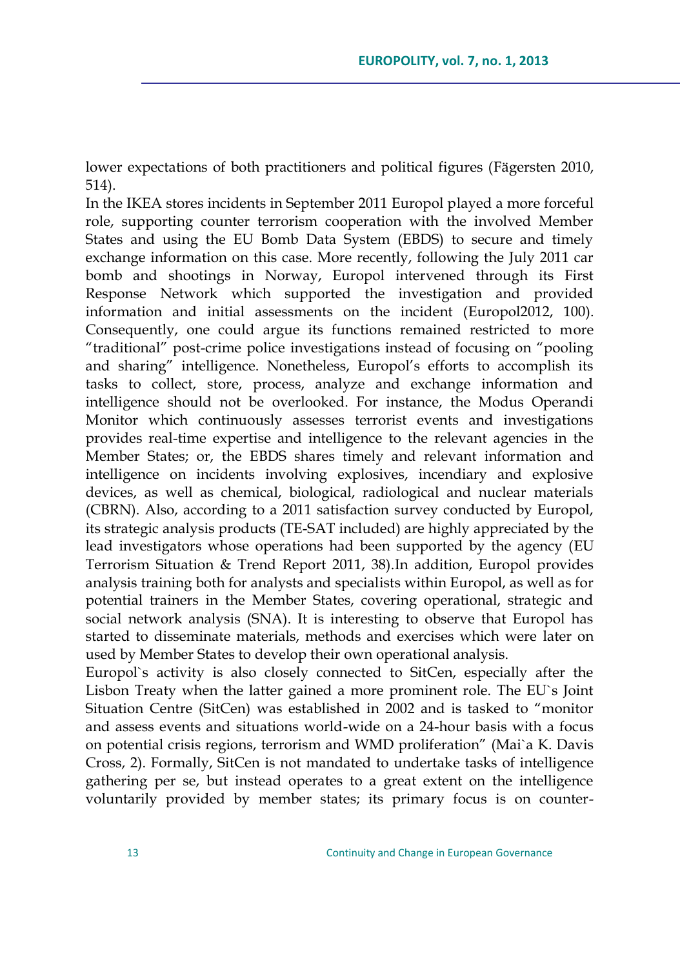lower expectations of both practitioners and political figures (Fägersten 2010, 514).

In the IKEA stores incidents in September 2011 Europol played a more forceful role, supporting counter terrorism cooperation with the involved Member States and using the EU Bomb Data System (EBDS) to secure and timely exchange information on this case. More recently, following the July 2011 car bomb and shootings in Norway, Europol intervened through its First Response Network which supported the investigation and provided information and initial assessments on the incident (Europol2012, 100). Consequently, one could argue its functions remained restricted to more "traditional" post-crime police investigations instead of focusing on "pooling and sharing" intelligence. Nonetheless, Europol's efforts to accomplish its tasks to collect, store, process, analyze and exchange information and intelligence should not be overlooked. For instance, the Modus Operandi Monitor which continuously assesses terrorist events and investigations provides real-time expertise and intelligence to the relevant agencies in the Member States; or, the EBDS shares timely and relevant information and intelligence on incidents involving explosives, incendiary and explosive devices, as well as chemical, biological, radiological and nuclear materials (CBRN). Also, according to a 2011 satisfaction survey conducted by Europol, its strategic analysis products (TE-SAT included) are highly appreciated by the lead investigators whose operations had been supported by the agency (EU Terrorism Situation & Trend Report 2011, 38).In addition, Europol provides analysis training both for analysts and specialists within Europol, as well as for potential trainers in the Member States, covering operational, strategic and social network analysis (SNA). It is interesting to observe that Europol has started to disseminate materials, methods and exercises which were later on used by Member States to develop their own operational analysis.

Europol`s activity is also closely connected to SitCen, especially after the Lisbon Treaty when the latter gained a more prominent role. The EU`s Joint Situation Centre (SitCen) was established in 2002 and is tasked to "monitor and assess events and situations world-wide on a 24-hour basis with a focus on potential crisis regions, terrorism and WMD proliferation" (Mai`a K. Davis Cross, 2). Formally, SitCen is not mandated to undertake tasks of intelligence gathering per se, but instead operates to a great extent on the intelligence voluntarily provided by member states; its primary focus is on counter-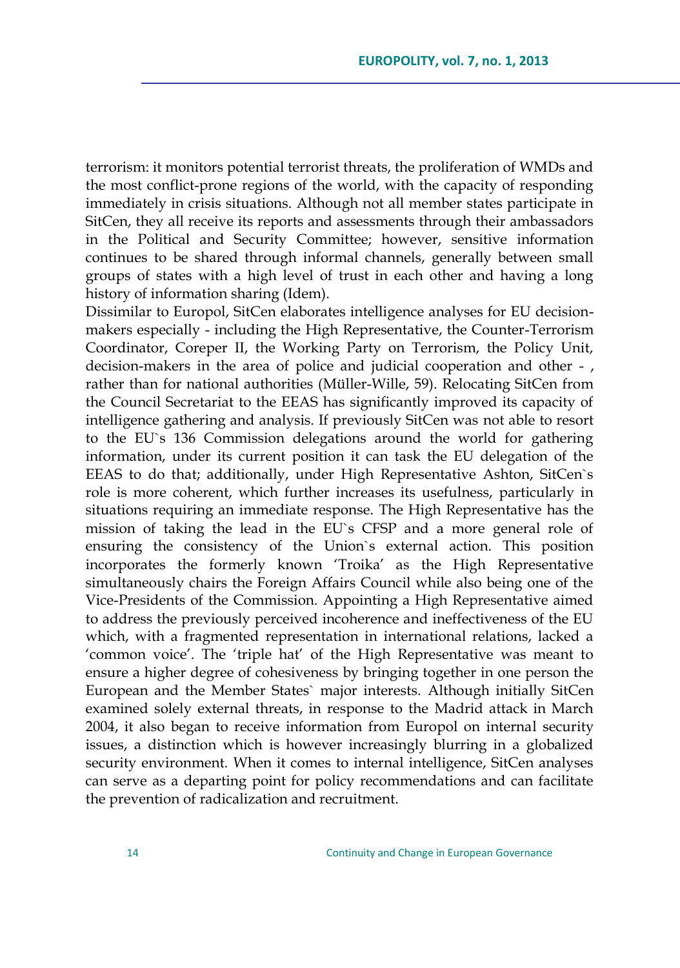terrorism: it monitors potential terrorist threats, the proliferation of WMDs and the most conflict-prone regions of the world, with the capacity of responding immediately in crisis situations. Although not all member states participate in SitCen, they all receive its reports and assessments through their ambassadors in the Political and Security Committee; however, sensitive information continues to be shared through informal channels, generally between small groups of states with a high level of trust in each other and having a long history of information sharing (Idem).

Dissimilar to Europol, SitCen elaborates intelligence analyses for EU decisionmakers especially - including the High Representative, the Counter-Terrorism Coordinator, Coreper II, the Working Party on Terrorism, the Policy Unit, decision-makers in the area of police and judicial cooperation and other - , rather than for national authorities (Müller-Wille, 59). Relocating SitCen from the Council Secretariat to the EEAS has significantly improved its capacity of intelligence gathering and analysis. If previously SitCen was not able to resort to the EU`s 136 Commission delegations around the world for gathering information, under its current position it can task the EU delegation of the EEAS to do that; additionally, under High Representative Ashton, SitCen`s role is more coherent, which further increases its usefulness, particularly in situations requiring an immediate response. The High Representative has the mission of taking the lead in the EU`s CFSP and a more general role of ensuring the consistency of the Union`s external action. This position incorporates the formerly known "Troika" as the High Representative simultaneously chairs the Foreign Affairs Council while also being one of the Vice-Presidents of the Commission. Appointing a High Representative aimed to address the previously perceived incoherence and ineffectiveness of the EU which, with a fragmented representation in international relations, lacked a "common voice". The "triple hat" of the High Representative was meant to ensure a higher degree of cohesiveness by bringing together in one person the European and the Member States` major interests. Although initially SitCen examined solely external threats, in response to the Madrid attack in March 2004, it also began to receive information from Europol on internal security issues, a distinction which is however increasingly blurring in a globalized security environment. When it comes to internal intelligence, SitCen analyses can serve as a departing point for policy recommendations and can facilitate the prevention of radicalization and recruitment.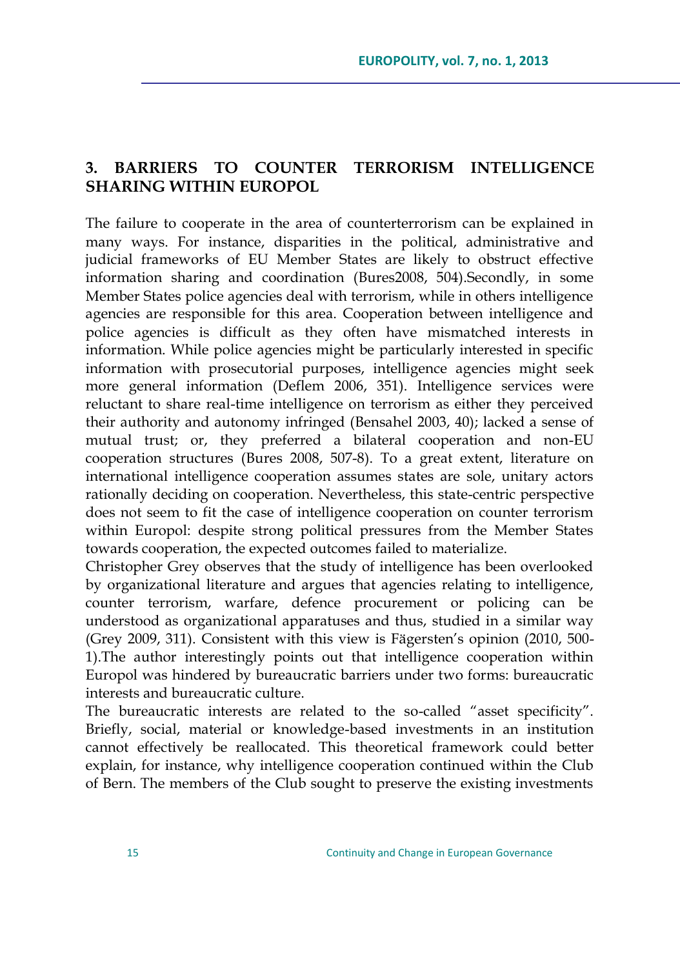## **3. BARRIERS TO COUNTER TERRORISM INTELLIGENCE SHARING WITHIN EUROPOL**

The failure to cooperate in the area of counterterrorism can be explained in many ways. For instance, disparities in the political, administrative and judicial frameworks of EU Member States are likely to obstruct effective information sharing and coordination (Bures2008, 504).Secondly, in some Member States police agencies deal with terrorism, while in others intelligence agencies are responsible for this area. Cooperation between intelligence and police agencies is difficult as they often have mismatched interests in information. While police agencies might be particularly interested in specific information with prosecutorial purposes, intelligence agencies might seek more general information (Deflem 2006, 351). Intelligence services were reluctant to share real-time intelligence on terrorism as either they perceived their authority and autonomy infringed (Bensahel 2003, 40); lacked a sense of mutual trust; or, they preferred a bilateral cooperation and non-EU cooperation structures (Bures 2008, 507-8). To a great extent, literature on international intelligence cooperation assumes states are sole, unitary actors rationally deciding on cooperation. Nevertheless, this state-centric perspective does not seem to fit the case of intelligence cooperation on counter terrorism within Europol: despite strong political pressures from the Member States towards cooperation, the expected outcomes failed to materialize.

Christopher Grey observes that the study of intelligence has been overlooked by organizational literature and argues that agencies relating to intelligence, counter terrorism, warfare, defence procurement or policing can be understood as organizational apparatuses and thus, studied in a similar way (Grey 2009, 311). Consistent with this view is Fägersten's opinion (2010, 500-1).The author interestingly points out that intelligence cooperation within Europol was hindered by bureaucratic barriers under two forms: bureaucratic interests and bureaucratic culture.

The bureaucratic interests are related to the so-called "asset specificity". Briefly, social, material or knowledge-based investments in an institution cannot effectively be reallocated. This theoretical framework could better explain, for instance, why intelligence cooperation continued within the Club of Bern. The members of the Club sought to preserve the existing investments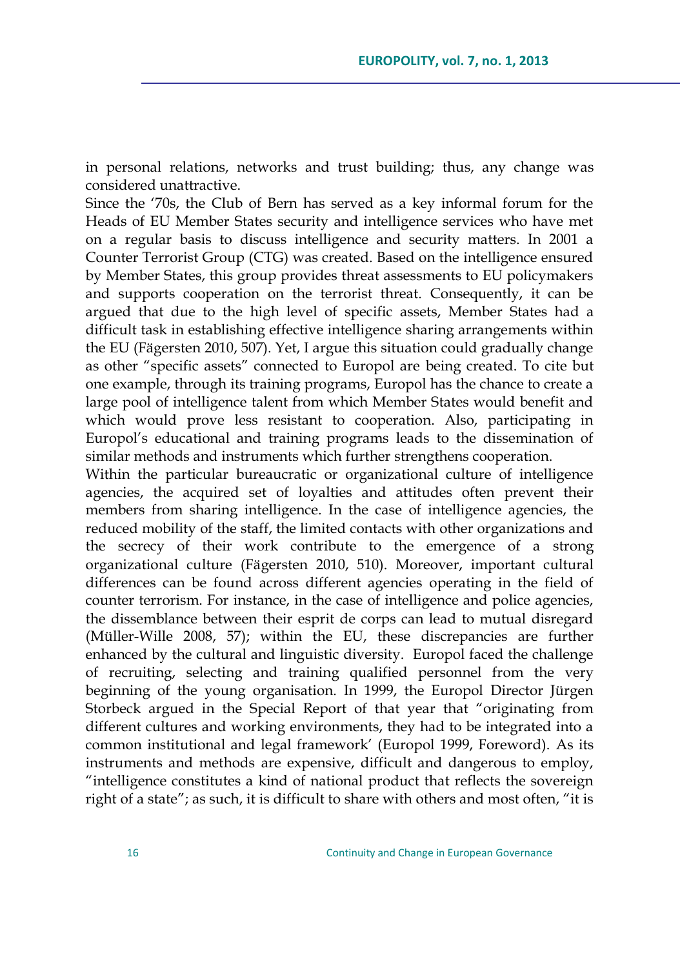in personal relations, networks and trust building; thus, any change was considered unattractive.

Since the "70s, the Club of Bern has served as a key informal forum for the Heads of EU Member States security and intelligence services who have met on a regular basis to discuss intelligence and security matters. In 2001 a Counter Terrorist Group (CTG) was created. Based on the intelligence ensured by Member States, this group provides threat assessments to EU policymakers and supports cooperation on the terrorist threat. Consequently, it can be argued that due to the high level of specific assets, Member States had a difficult task in establishing effective intelligence sharing arrangements within the EU (Fägersten 2010, 507). Yet, I argue this situation could gradually change as other "specific assets" connected to Europol are being created. To cite but one example, through its training programs, Europol has the chance to create a large pool of intelligence talent from which Member States would benefit and which would prove less resistant to cooperation. Also, participating in Europol"s educational and training programs leads to the dissemination of similar methods and instruments which further strengthens cooperation.

Within the particular bureaucratic or organizational culture of intelligence agencies, the acquired set of loyalties and attitudes often prevent their members from sharing intelligence. In the case of intelligence agencies, the reduced mobility of the staff, the limited contacts with other organizations and the secrecy of their work contribute to the emergence of a strong organizational culture (Fägersten 2010, 510). Moreover, important cultural differences can be found across different agencies operating in the field of counter terrorism. For instance, in the case of intelligence and police agencies, the dissemblance between their esprit de corps can lead to mutual disregard (Müller-Wille 2008, 57); within the EU, these discrepancies are further enhanced by the cultural and linguistic diversity. Europol faced the challenge of recruiting, selecting and training qualified personnel from the very beginning of the young organisation. In 1999, the Europol Director Jürgen Storbeck argued in the Special Report of that year that "originating from different cultures and working environments, they had to be integrated into a common institutional and legal framework" (Europol 1999, Foreword). As its instruments and methods are expensive, difficult and dangerous to employ, "intelligence constitutes a kind of national product that reflects the sovereign right of a state"; as such, it is difficult to share with others and most often, "it is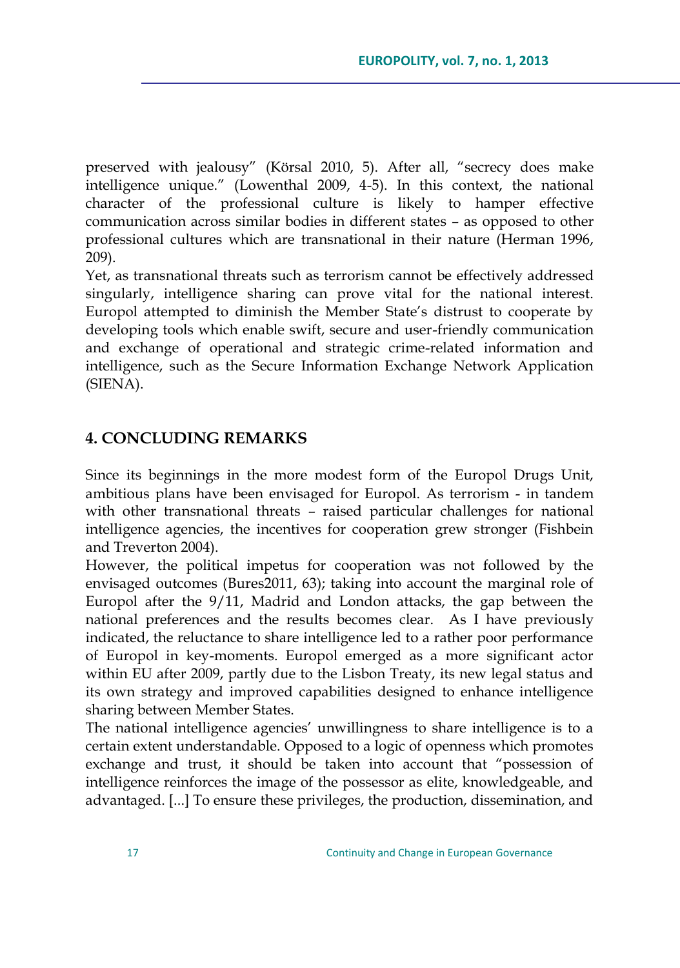preserved with jealousy" (Körsal 2010, 5). After all, "secrecy does make intelligence unique." (Lowenthal 2009, 4-5). In this context, the national character of the professional culture is likely to hamper effective communication across similar bodies in different states – as opposed to other professional cultures which are transnational in their nature (Herman 1996, 209).

Yet, as transnational threats such as terrorism cannot be effectively addressed singularly, intelligence sharing can prove vital for the national interest. Europol attempted to diminish the Member State"s distrust to cooperate by developing tools which enable swift, secure and user-friendly communication and exchange of operational and strategic crime-related information and intelligence, such as the Secure Information Exchange Network Application (SIENA).

### **4. CONCLUDING REMARKS**

Since its beginnings in the more modest form of the Europol Drugs Unit, ambitious plans have been envisaged for Europol. As terrorism - in tandem with other transnational threats – raised particular challenges for national intelligence agencies, the incentives for cooperation grew stronger (Fishbein and Treverton 2004).

However, the political impetus for cooperation was not followed by the envisaged outcomes (Bures2011, 63); taking into account the marginal role of Europol after the 9/11, Madrid and London attacks, the gap between the national preferences and the results becomes clear. As I have previously indicated, the reluctance to share intelligence led to a rather poor performance of Europol in key-moments. Europol emerged as a more significant actor within EU after 2009, partly due to the Lisbon Treaty, its new legal status and its own strategy and improved capabilities designed to enhance intelligence sharing between Member States.

The national intelligence agencies" unwillingness to share intelligence is to a certain extent understandable. Opposed to a logic of openness which promotes exchange and trust, it should be taken into account that "possession of intelligence reinforces the image of the possessor as elite, knowledgeable, and advantaged. [...] To ensure these privileges, the production, dissemination, and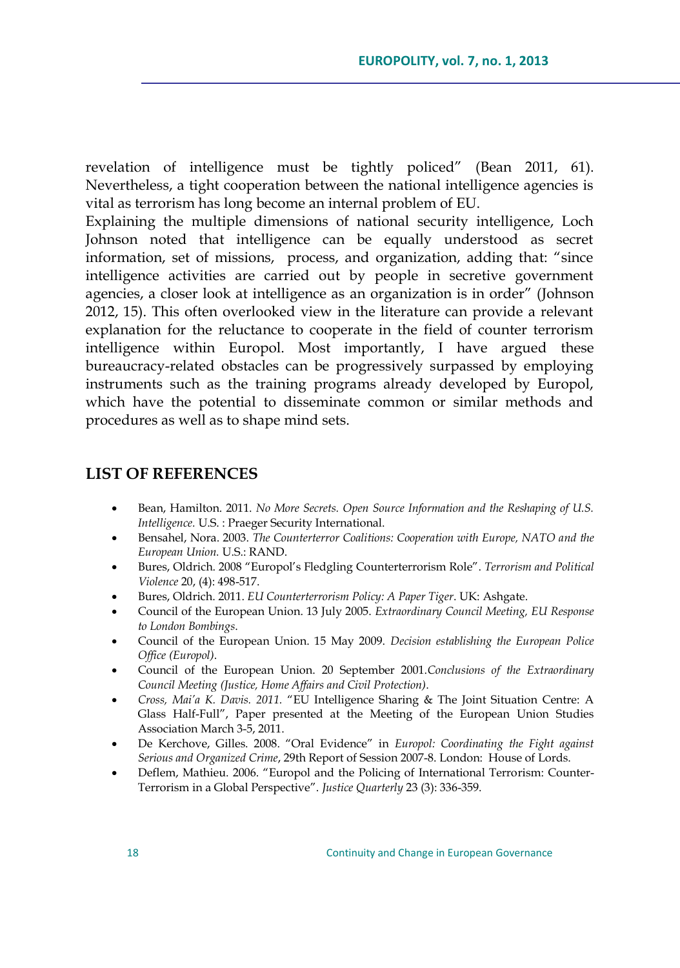revelation of intelligence must be tightly policed" (Bean 2011, 61). Nevertheless, a tight cooperation between the national intelligence agencies is vital as terrorism has long become an internal problem of EU.

Explaining the multiple dimensions of national security intelligence, Loch Johnson noted that intelligence can be equally understood as secret information, set of missions, process, and organization, adding that: "since intelligence activities are carried out by people in secretive government agencies, a closer look at intelligence as an organization is in order" (Johnson 2012, 15). This often overlooked view in the literature can provide a relevant explanation for the reluctance to cooperate in the field of counter terrorism intelligence within Europol. Most importantly, I have argued these bureaucracy-related obstacles can be progressively surpassed by employing instruments such as the training programs already developed by Europol, which have the potential to disseminate common or similar methods and procedures as well as to shape mind sets.

### **LIST OF REFERENCES**

- Bean, Hamilton. 2011. *No More Secrets. Open Source Information and the Reshaping of U.S. Intelligence.* U.S. : Praeger Security International.
- Bensahel, Nora. 2003. *The Counterterror Coalitions: Cooperation with Europe, NATO and the European Union.* U.S.: RAND.
- Bures, Oldrich. 2008 "Europol"s Fledgling Counterterrorism Role". *Terrorism and Political Violence* 20, (4): 498-517.
- Bures, Oldrich. 2011. *EU Counterterrorism Policy: A Paper Tiger*. UK: Ashgate.
- Council of the European Union. 13 July 2005. *Extraordinary Council Meeting, EU Response to London Bombings*.
- Council of the European Union. 15 May 2009. *Decision establishing the European Police Office (Europol)*.
- Council of the European Union. 20 September 2001.*Conclusions of the Extraordinary Council Meeting (Justice, Home Affairs and Civil Protection)*.
- *Cross, Mai'a K. Davis. 2011.* "EU Intelligence Sharing & The Joint Situation Centre: A Glass Half-Full", Paper presented at the Meeting of the European Union Studies Association March 3-5, 2011.
- De Kerchove, Gilles. 2008. "Oral Evidence" in *Europol: Coordinating the Fight against Serious and Organized Crime*, 29th Report of Session 2007-8. London: House of Lords.
- Deflem, Mathieu. 2006. "Europol and the Policing of International Terrorism: Counter-Terrorism in a Global Perspective". *Justice Quarterly* 23 (3): 336-359.